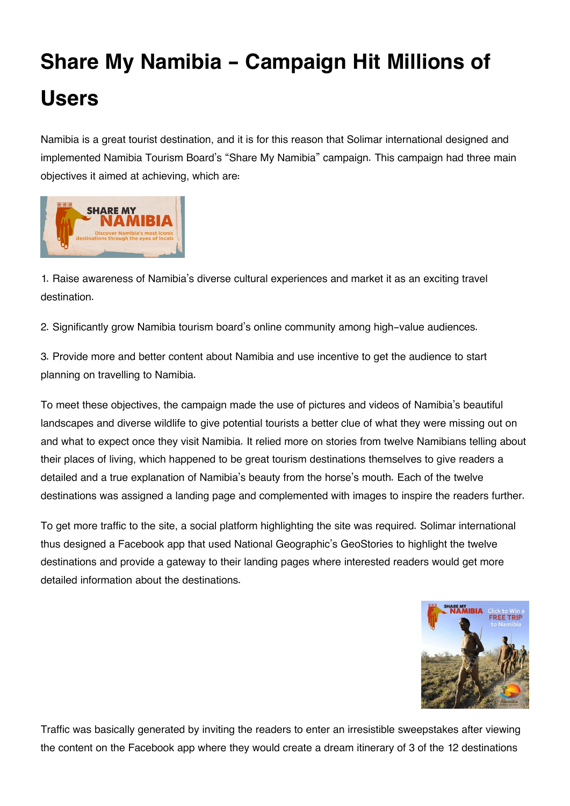## **Share My Namibia - Campaign Hit Millions of Users**

Namibia is a great tourist destination, and it is for this reason that Solimar international designed and implemented Namibia Tourism Board's "Share My Namibia" campaign. This campaign had three main objectives it aimed at achieving, which are:



1. Raise awareness of Namibia's diverse cultural experiences and market it as an exciting travel destination.

2. Significantly grow Namibia tourism board's online community among high-value audiences.

3. Provide more and better content about Namibia and use incentive to get the audience to start planning on travelling to Namibia.

To meet these objectives, the campaign made the use of pictures and videos of Namibia's beautiful landscapes and diverse wildlife to give potential tourists a better clue of what they were missing out on and what to expect once they visit Namibia. It relied more on stories from twelve Namibians telling about their places of living, which happened to be great tourism destinations themselves to give readers a detailed and a true explanation of Namibia's beauty from the horse's mouth. Each of the twelve destinations was assigned a landing page and complemented with images to inspire the readers further.

To get more traffic to the site, a social platform highlighting the site was required. Solimar international thus designed a Facebook app that used National Geographic's GeoStories to highlight the twelve destinations and provide a gateway to their landing pages where interested readers would get more detailed information about the destinations.



Traffic was basically generated by inviting the readers to enter an irresistible sweepstakes after viewing the content on the Facebook app where they would create a dream itinerary of 3 of the 12 destinations